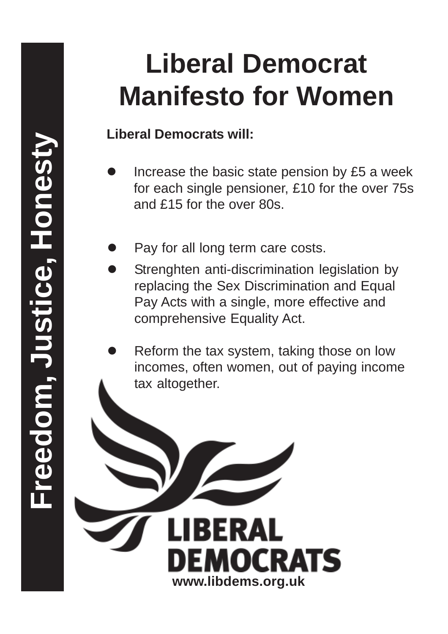### **Liberal Democrats will:**

- Increase the basic state pension by £5 a week for each single pensioner, £10 for the over 75s and £15 for the over 80s.
- Pay for all long term care costs.
- Strenghten anti-discrimination legislation by replacing the Sex Discrimination and Equal Pay Acts with a single, more effective and comprehensive Equality Act.
- Reform the tax system, taking those on low incomes, often women, out of paying income tax altogether.

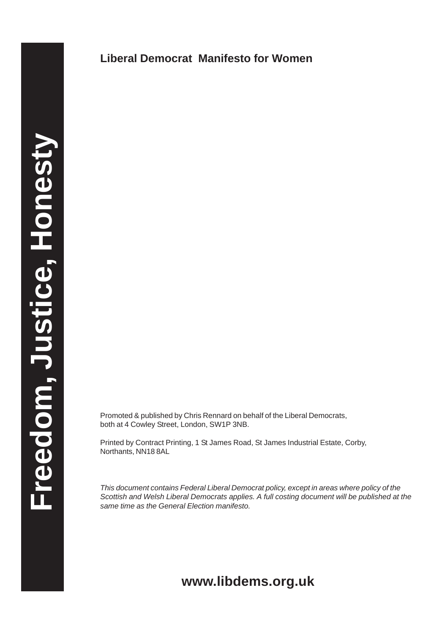Promoted & published by Chris Rennard on behalf of the Liberal Democrats, both at 4 Cowley Street, London, SW1P 3NB.

Printed by Contract Printing, 1 St James Road, St James Industrial Estate, Corby, Northants, NN18 8AL

*This document contains Federal Liberal Democrat policy, except in areas where policy of the Scottish and Welsh Liberal Democrats applies. A full costing document will be published at the same time as the General Election manifesto.*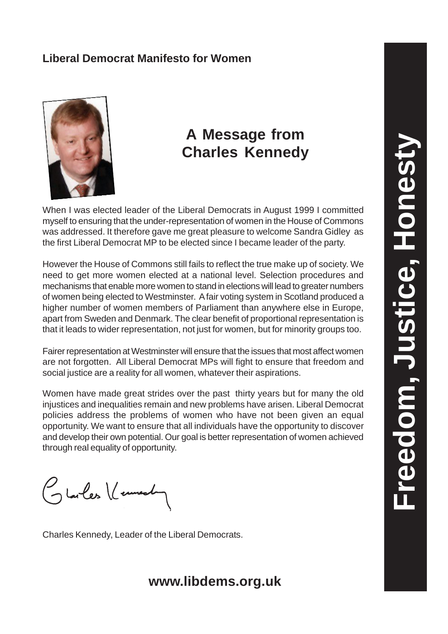

### **A Message from Charles Kennedy**

When I was elected leader of the Liberal Democrats in August 1999 I committed myself to ensuring that the under-representation of women in the House of Commons was addressed. It therefore gave me great pleasure to welcome Sandra Gidley as the first Liberal Democrat MP to be elected since I became leader of the party.

However the House of Commons still fails to reflect the true make up of society. We need to get more women elected at a national level. Selection procedures and mechanisms that enable more women to stand in elections will lead to greater numbers of women being elected to Westminster. A fair voting system in Scotland produced a higher number of women members of Parliament than anywhere else in Europe, apart from Sweden and Denmark. The clear benefit of proportional representation is that it leads to wider representation, not just for women, but for minority groups too.

Fairer representation at Westminster will ensure that the issues that most affect women are not forgotten. All Liberal Democrat MPs will fight to ensure that freedom and social justice are a reality for all women, whatever their aspirations.

Women have made great strides over the past thirty years but for many the old injustices and inequalities remain and new problems have arisen. Liberal Democrat policies address the problems of women who have not been given an equal opportunity. We want to ensure that all individuals have the opportunity to discover and develop their own potential. Our goal is better representation of women achieved through real equality of opportunity.

Glarles Veuvel

Charles Kennedy, Leader of the Liberal Democrats.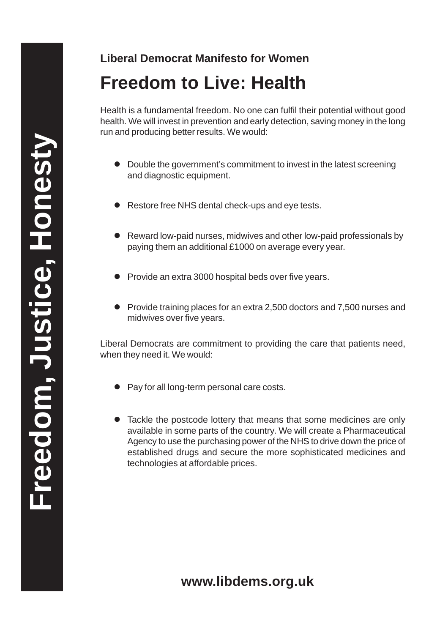# **Freedom to Live: Health**

Health is a fundamental freedom. No one can fulfil their potential without good health. We will invest in prevention and early detection, saving money in the long run and producing better results. We would:

- Double the government's commitment to invest in the latest screening and diagnostic equipment.
- Restore free NHS dental check-ups and eye tests.
- Reward low-paid nurses, midwives and other low-paid professionals by paying them an additional £1000 on average every year.
- Provide an extra 3000 hospital beds over five years.
- Provide training places for an extra 2,500 doctors and 7,500 nurses and midwives over five years.

Liberal Democrats are commitment to providing the care that patients need, when they need it. We would:

- Pay for all long-term personal care costs.
- Tackle the postcode lottery that means that some medicines are only available in some parts of the country. We will create a Pharmaceutical Agency to use the purchasing power of the NHS to drive down the price of established drugs and secure the more sophisticated medicines and technologies at affordable prices.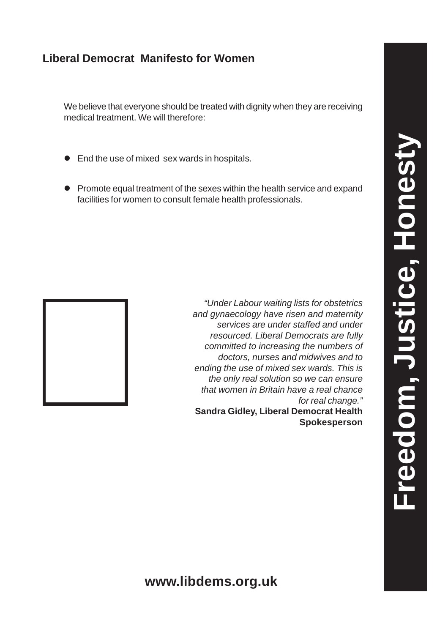We believe that everyone should be treated with dignity when they are receiving medical treatment. We will therefore:

- End the use of mixed sex wards in hospitals.
- Promote equal treatment of the sexes within the health service and expand facilities for women to consult female health professionals.



*"Under Labour waiting lists for obstetrics and gynaecology have risen and maternity services are under staffed and under resourced. Liberal Democrats are fully committed to increasing the numbers of doctors, nurses and midwives and to ending the use of mixed sex wards. This is the only real solution so we can ensure that women in Britain have a real chance for real change."*

**Sandra Gidley, Liberal Democrat Health Spokesperson**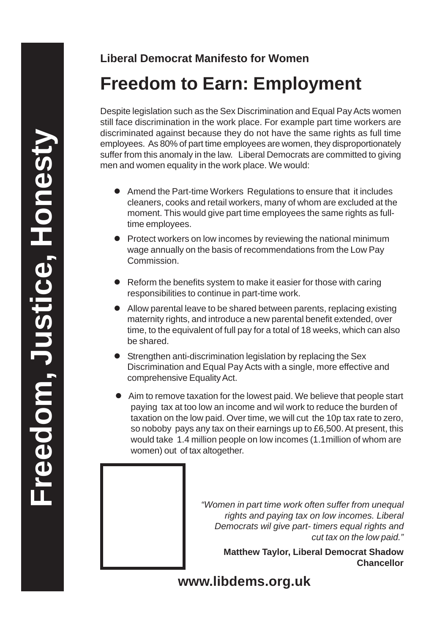# **Freedom to Earn: Employment**

Despite legislation such as the Sex Discrimination and Equal Pay Acts women still face discrimination in the work place. For example part time workers are discriminated against because they do not have the same rights as full time employees. As 80% of part time employees are women, they disproportionately suffer from this anomaly in the law. Liberal Democrats are committed to giving men and women equality in the work place. We would:

- Amend the Part-time Workers Regulations to ensure that it includes cleaners, cooks and retail workers, many of whom are excluded at the moment. This would give part time employees the same rights as fulltime employees.
- Protect workers on low incomes by reviewing the national minimum wage annually on the basis of recommendations from the Low Pay Commission.
- Reform the benefits system to make it easier for those with caring responsibilities to continue in part-time work.
- Allow parental leave to be shared between parents, replacing existing maternity rights, and introduce a new parental benefit extended, over time, to the equivalent of full pay for a total of 18 weeks, which can also be shared.
- **Strengthen anti-discrimination legislation by replacing the Sex** Discrimination and Equal Pay Acts with a single, more effective and comprehensive Equality Act.
- Aim to remove taxation for the lowest paid. We believe that people start paying tax at too low an income and wil work to reduce the burden of taxation on the low paid. Over time, we will cut the 10p tax rate to zero, so noboby pays any tax on their earnings up to £6,500. At present, this would take 1.4 million people on low incomes (1.1million of whom are women) out of tax altogether.

*"Women in part time work often suffer from unequal rights and paying tax on low incomes. Liberal Democrats wil give part- timers equal rights and cut tax on the low paid."*

**Matthew Taylor, Liberal Democrat Shadow Chancellor**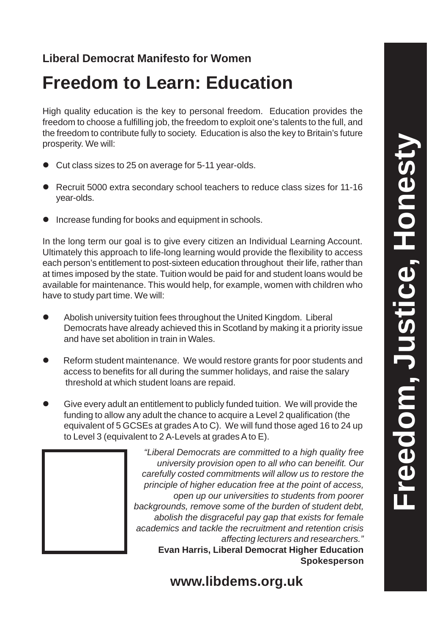# **Freedom, Justice, Honesty** Freedom, Justice, Honest

### **Liberal Democrat Manifesto for Women**

## **Freedom to Learn: Education**

High quality education is the key to personal freedom. Education provides the freedom to choose a fulfilling job, the freedom to exploit one's talents to the full, and the freedom to contribute fully to society. Education is also the key to Britain's future prosperity. We will:

- Cut class sizes to 25 on average for 5-11 year-olds.
- Recruit 5000 extra secondary school teachers to reduce class sizes for 11-16 year-olds.
- **•** Increase funding for books and equipment in schools.

In the long term our goal is to give every citizen an Individual Learning Account. Ultimately this approach to life-long learning would provide the flexibility to access each person's entitlement to post-sixteen education throughout their life, rather than at times imposed by the state. Tuition would be paid for and student loans would be available for maintenance. This would help, for example, women with children who have to study part time. We will:

- Abolish university tuition fees throughout the United Kingdom. Liberal Democrats have already achieved this in Scotland by making it a priority issue and have set abolition in train in Wales.
- Reform student maintenance. We would restore grants for poor students and access to benefits for all during the summer holidays, and raise the salary threshold at which student loans are repaid.
- Give every adult an entitlement to publicly funded tuition. We will provide the funding to allow any adult the chance to acquire a Level 2 qualification (the equivalent of 5 GCSEs at grades A to C). We will fund those aged 16 to 24 up to Level 3 (equivalent to 2 A-Levels at grades A to E).

*"Liberal Democrats are committed to a high quality free university provision open to all who can beneifit. Our carefully costed commitments will allow us to restore the principle of higher education free at the point of access, open up our universities to students from poorer backgrounds, remove some of the burden of student debt, abolish the disgraceful pay gap that exists for female academics and tackle the recruitment and retention crisis affecting lecturers and researchers."* **Evan Harris, Liberal Democrat Higher Education Spokesperson**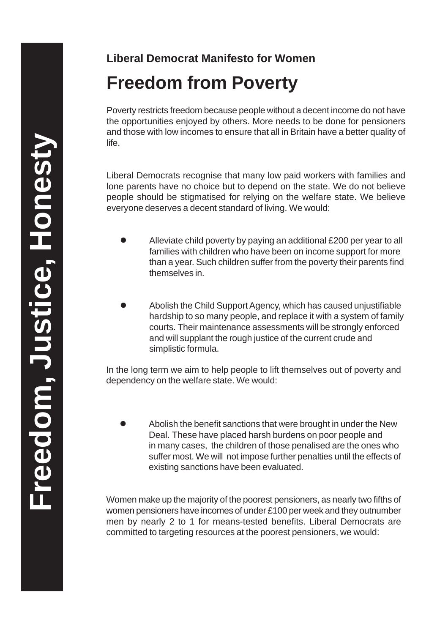**Liberal Democrat Manifesto for Women Freedom from Poverty**

Poverty restricts freedom because people without a decent income do not have the opportunities enjoyed by others. More needs to be done for pensioners and those with low incomes to ensure that all in Britain have a better quality of life.

Liberal Democrats recognise that many low paid workers with families and lone parents have no choice but to depend on the state. We do not believe people should be stigmatised for relying on the welfare state. We believe everyone deserves a decent standard of living. We would:

- Alleviate child poverty by paying an additional £200 per year to all families with children who have been on income support for more than a year. Such children suffer from the poverty their parents find themselves in.
- Abolish the Child Support Agency, which has caused unjustifiable hardship to so many people, and replace it with a system of family courts. Their maintenance assessments will be strongly enforced and will supplant the rough justice of the current crude and simplistic formula.

In the long term we aim to help people to lift themselves out of poverty and dependency on the welfare state. We would:

 Abolish the benefit sanctions that were brought in under the New Deal. These have placed harsh burdens on poor people and in many cases, the children of those penalised are the ones who suffer most. We will not impose further penalties until the effects of existing sanctions have been evaluated.

Women make up the majority of the poorest pensioners, as nearly two fifths of women pensioners have incomes of under £100 per week and they outnumber men by nearly 2 to 1 for means-tested benefits. Liberal Democrats are committed to targeting resources at the poorest pensioners, we would: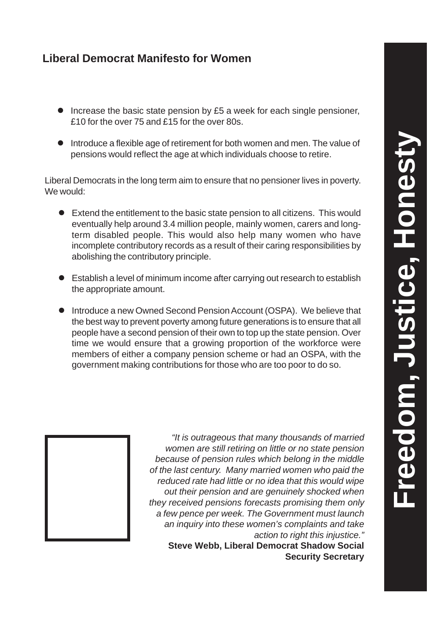- Increase the basic state pension by £5 a week for each single pensioner, £10 for the over 75 and £15 for the over 80s.
- **Introduce a flexible age of retirement for both women and men. The value of** pensions would reflect the age at which individuals choose to retire.

Liberal Democrats in the long term aim to ensure that no pensioner lives in poverty. We would:

- Extend the entitlement to the basic state pension to all citizens. This would eventually help around 3.4 million people, mainly women, carers and longterm disabled people. This would also help many women who have incomplete contributory records as a result of their caring responsibilities by abolishing the contributory principle.
- Establish a level of minimum income after carrying out research to establish the appropriate amount.
- **Introduce a new Owned Second Pension Account (OSPA). We believe that** the best way to prevent poverty among future generations is to ensure that all people have a second pension of their own to top up the state pension. Over time we would ensure that a growing proportion of the workforce were members of either a company pension scheme or had an OSPA, with the government making contributions for those who are too poor to do so.



*"It is outrageous that many thousands of married women are still retiring on little or no state pension because of pension rules which belong in the middle of the last century. Many married women who paid the reduced rate had little or no idea that this would wipe out their pension and are genuinely shocked when they received pensions forecasts promising them only a few pence per week. The Government must launch an inquiry into these women's complaints and take action to right this injustice."*

**Steve Webb, Liberal Democrat Shadow Social Security Secretary**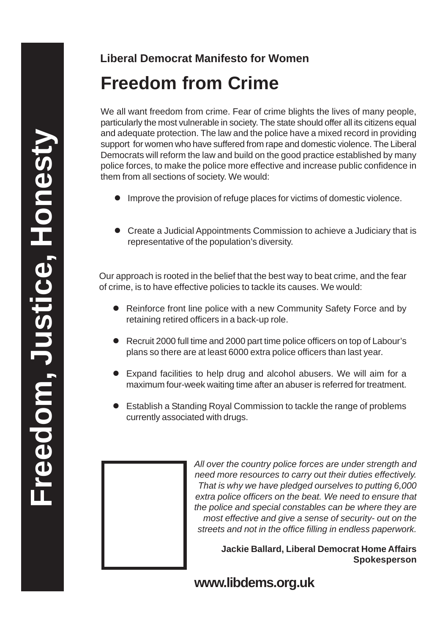# **Freedom from Crime**

We all want freedom from crime. Fear of crime blights the lives of many people. particularly the most vulnerable in society. The state should offer all its citizens equal and adequate protection. The law and the police have a mixed record in providing support for women who have suffered from rape and domestic violence. The Liberal Democrats will reform the law and build on the good practice established by many police forces, to make the police more effective and increase public confidence in them from all sections of society. We would:

- **Improve the provision of refuge places for victims of domestic violence.**
- Create a Judicial Appointments Commission to achieve a Judiciary that is representative of the population's diversity.

Our approach is rooted in the belief that the best way to beat crime, and the fear of crime, is to have effective policies to tackle its causes. We would:

- Reinforce front line police with a new Community Safety Force and by retaining retired officers in a back-up role.
- Recruit 2000 full time and 2000 part time police officers on top of Labour's plans so there are at least 6000 extra police officers than last year.
- Expand facilities to help drug and alcohol abusers. We will aim for a maximum four-week waiting time after an abuser is referred for treatment.
- Establish a Standing Royal Commission to tackle the range of problems currently associated with drugs.



**Jackie Ballard, Liberal Democrat Home Affairs Spokesperson**